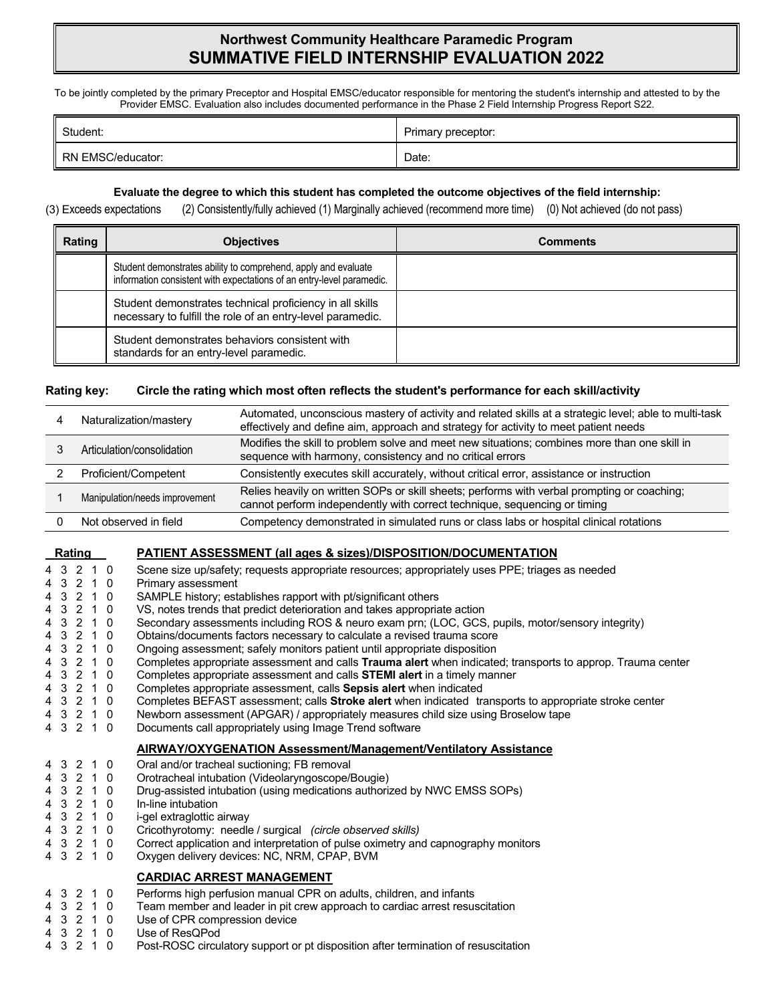# **Northwest Community Healthcare Paramedic Program SUMMATIVE FIELD INTERNSHIP EVALUATION 2022**

To be jointly completed by the primary Preceptor and Hospital EMSC/educator responsible for mentoring the student's internship and attested to by the Provider EMSC. Evaluation also includes documented performance in the Phase 2 Field Internship Progress Report S22.

| Student:          | Primary preceptor: |
|-------------------|--------------------|
| RN EMSC/educator: | Date:              |

## **Evaluate the degree to which this student has completed the outcome objectives of the field internship:**

(3) Exceeds expectations (2) Consistently/fully achieved (1) Marginally achieved (recommend more time) (0) Not achieved (do not pass)

| Rating | <b>Objectives</b>                                                                                                                       | <b>Comments</b> |  |  |
|--------|-----------------------------------------------------------------------------------------------------------------------------------------|-----------------|--|--|
|        | Student demonstrates ability to comprehend, apply and evaluate<br>information consistent with expectations of an entry-level paramedic. |                 |  |  |
|        | Student demonstrates technical proficiency in all skills<br>necessary to fulfill the role of an entry-level paramedic.                  |                 |  |  |
|        | Student demonstrates behaviors consistent with<br>standards for an entry-level paramedic.                                               |                 |  |  |

#### **Rating key: Circle the rating which most often reflects the student's performance for each skill/activity**

| Naturalization/mastery         | Automated, unconscious mastery of activity and related skills at a strategic level; able to multi-task<br>effectively and define aim, approach and strategy for activity to meet patient needs |
|--------------------------------|------------------------------------------------------------------------------------------------------------------------------------------------------------------------------------------------|
| Articulation/consolidation     | Modifies the skill to problem solve and meet new situations; combines more than one skill in<br>sequence with harmony, consistency and no critical errors                                      |
| Proficient/Competent           | Consistently executes skill accurately, without critical error, assistance or instruction                                                                                                      |
| Manipulation/needs improvement | Relies heavily on written SOPs or skill sheets; performs with verbal prompting or coaching;<br>cannot perform independently with correct technique, sequencing or timing                       |
| Not observed in field          | Competency demonstrated in simulated runs or class labs or hospital clinical rotations                                                                                                         |

## **Rating PATIENT ASSESSMENT (all ages & sizes)/DISPOSITION/DOCUMENTATION**

|  | 4 3 2 1 0 |           | Scene size up/safety; requests appropriate resources; appropriately uses PPE; triages as needed             |
|--|-----------|-----------|-------------------------------------------------------------------------------------------------------------|
|  | 4 3 2 1 0 |           | Primary assessment                                                                                          |
|  | 4 3 2 1 0 |           | SAMPLE history; establishes rapport with pt/significant others                                              |
|  | 4 3 2 1 0 |           | VS, notes trends that predict deterioration and takes appropriate action                                    |
|  | 4 3 2 1 0 |           | Secondary assessments including ROS & neuro exam prn; (LOC, GCS, pupils, motor/sensory integrity)           |
|  | 4 3 2 1 0 |           | Obtains/documents factors necessary to calculate a revised trauma score                                     |
|  | 4 3 2 1 0 |           | Ongoing assessment; safely monitors patient until appropriate disposition                                   |
|  |           | 4 3 2 1 0 | Completes appropriate assessment and calls Trauma alert when indicated; transports to approp. Trauma center |
|  | 4 3 2 1 0 |           | Completes appropriate assessment and calls STEMI alert in a timely manner                                   |
|  | 4 3 2 1 0 |           | Completes appropriate assessment, calls Sepsis alert when indicated                                         |
|  |           | 4 3 2 1 0 | Completes BEFAST assessment; calls Stroke alert when indicated transports to appropriate stroke center      |
|  | 4 3 2 1 0 |           | Newborn assessment (APGAR) / appropriately measures child size using Broselow tape                          |
|  | 4 3 2 1 0 |           | Documents call appropriately using Image Trend software                                                     |
|  |           |           | AIRWAY/OXYGENATION Assessment/Management/Ventilatory Assistance                                             |
|  | 4 3 2 1 0 |           | Oral and/or tracheal suctioning; FB removal                                                                 |
|  | 4 3 2 1 0 |           | Orotracheal intubation (Videolaryngoscope/Bougie)                                                           |
|  | 4 3 2 1 0 |           | Drug-assisted intubation (using medications authorized by NWC EMSS SOPs)                                    |
|  | 4 3 2 1 0 |           | In-line intubation                                                                                          |
|  |           | 4 3 2 1 0 | i-gel extraglottic airway                                                                                   |
|  | 4 3 2 1 0 |           | Cricothyrotomy: needle / surgical (circle observed skills)                                                  |
|  |           | 4 3 2 1 0 | Correct application and interpretation of pulse oximetry and capnography monitors                           |
|  | 4 3 2 1 0 |           | Oxygen delivery devices: NC, NRM, CPAP, BVM                                                                 |
|  |           |           | <b>CARDIAC ARREST MANAGEMENT</b>                                                                            |
|  | 4 3 2 1 0 |           | Performs high perfusion manual CPR on adults, children, and infants                                         |
|  | 4 3 2 1 0 |           | Team member and leader in pit crew approach to cardiac arrest resuscitation                                 |
|  | 4 3 2 1 0 |           | Use of CPR compression device                                                                               |
|  | 4 3 2 1 0 |           | Use of ResOPod                                                                                              |
|  | 4 3 2 1 0 |           | Post-ROSC circulatory support or pt disposition after termination of resuscitation                          |
|  |           |           |                                                                                                             |